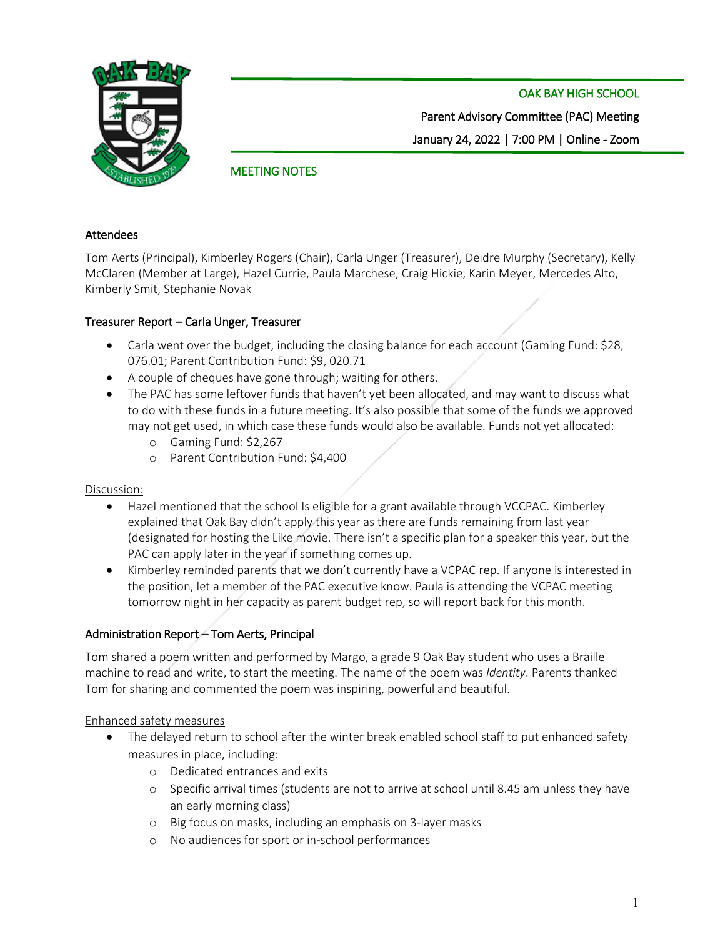OAK BAY HIGH SCHOOL



Parent Advisory Committee (PAC) Meeting January 24, 2022 | 7:00 PM | Online - Zoom

# MEETING NOTES

#### Attendees

Tom Aerts (Principal), Kimberley Rogers (Chair), Carla Unger (Treasurer), Deidre Murphy (Secretary), Kelly McClaren (Member at Large), Hazel Currie, Paula Marchese, Craig Hickie, Karin Meyer, Mercedes Alto, Kimberly Smit, Stephanie Novak

### Treasurer Report – Carla Unger, Treasurer

- Carla went over the budget, including the closing balance for each account (Gaming Fund: \$28, 076.01; Parent Contribution Fund: \$9, 020.71
- A couple of cheques have gone through; waiting for others.
- The PAC has some leftover funds that haven't yet been allocated, and may want to discuss what to do with these funds in a future meeting. It's also possible that some of the funds we approved may not get used, in which case these funds would also be available. Funds not yet allocated:
	- o Gaming Fund: \$2,267
	- o Parent Contribution Fund: \$4,400

#### Discussion:

- Hazel mentioned that the school Is eligible for a grant available through VCCPAC. Kimberley explained that Oak Bay didn't apply this year as there are funds remaining from last year (designated for hosting the Like movie. There isn't a specific plan for a speaker this year, but the PAC can apply later in the year if something comes up.
- Kimberley reminded parents that we don't currently have a VCPAC rep. If anyone is interested in the position, let a member of the PAC executive know. Paula is attending the VCPAC meeting tomorrow night in her capacity as parent budget rep, so will report back for this month.

### Administration Report – Tom Aerts, Principal

Tom shared a poem written and performed by Margo, a grade 9 Oak Bay student who uses a Braille machine to read and write, to start the meeting. The name of the poem was *Identity*. Parents thanked Tom for sharing and commented the poem was inspiring, powerful and beautiful.

#### Enhanced safety measures

- The delayed return to school after the winter break enabled school staff to put enhanced safety measures in place, including:
	- o Dedicated entrances and exits
	- o Specific arrival times (students are not to arrive at school until 8.45 am unless they have an early morning class)
	- o Big focus on masks, including an emphasis on 3-layer masks
	- o No audiences for sport or in-school performances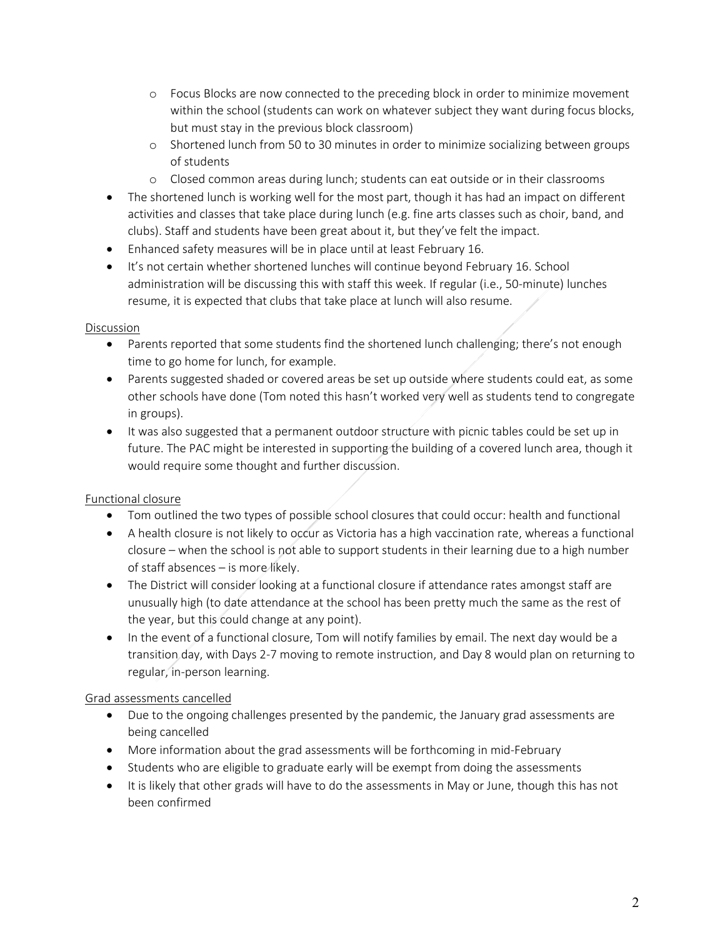- o Focus Blocks are now connected to the preceding block in order to minimize movement within the school (students can work on whatever subject they want during focus blocks, but must stay in the previous block classroom)
- o Shortened lunch from 50 to 30 minutes in order to minimize socializing between groups of students
- o Closed common areas during lunch; students can eat outside or in their classrooms
- The shortened lunch is working well for the most part, though it has had an impact on different activities and classes that take place during lunch (e.g. fine arts classes such as choir, band, and clubs). Staff and students have been great about it, but they've felt the impact.
- Enhanced safety measures will be in place until at least February 16.
- It's not certain whether shortened lunches will continue beyond February 16. School administration will be discussing this with staff this week. If regular (i.e., 50-minute) lunches resume, it is expected that clubs that take place at lunch will also resume.

# Discussion

- Parents reported that some students find the shortened lunch challenging; there's not enough time to go home for lunch, for example.
- Parents suggested shaded or covered areas be set up outside where students could eat, as some other schools have done (Tom noted this hasn't worked very well as students tend to congregate in groups).
- It was also suggested that a permanent outdoor structure with picnic tables could be set up in future. The PAC might be interested in supporting the building of a covered lunch area, though it would require some thought and further discussion.

# Functional closure

- Tom outlined the two types of possible school closures that could occur: health and functional
- A health closure is not likely to occur as Victoria has a high vaccination rate, whereas a functional closure – when the school is not able to support students in their learning due to a high number of staff absences – is more likely.
- The District will consider looking at a functional closure if attendance rates amongst staff are unusually high (to date attendance at the school has been pretty much the same as the rest of the year, but this could change at any point).
- In the event of a functional closure, Tom will notify families by email. The next day would be a transition day, with Days 2-7 moving to remote instruction, and Day 8 would plan on returning to regular, in-person learning.

# Grad assessments cancelled

- Due to the ongoing challenges presented by the pandemic, the January grad assessments are being cancelled
- More information about the grad assessments will be forthcoming in mid-February
- Students who are eligible to graduate early will be exempt from doing the assessments
- It is likely that other grads will have to do the assessments in May or June, though this has not been confirmed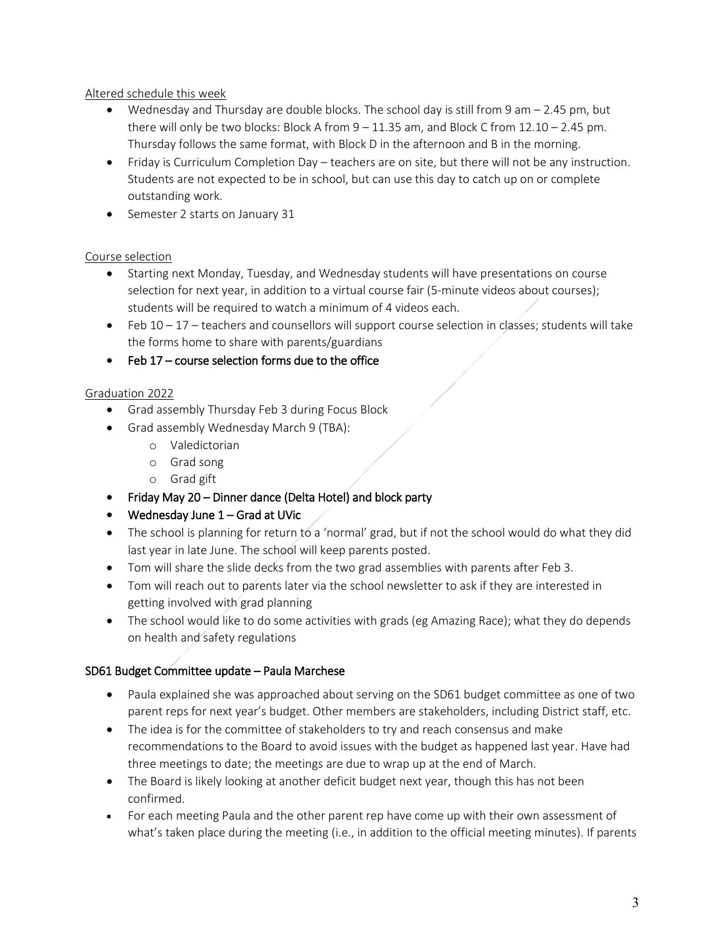## Altered schedule this week

- Wednesday and Thursday are double blocks. The school day is still from 9 am 2.45 pm, but there will only be two blocks: Block A from  $9 - 11.35$  am, and Block C from  $12.10 - 2.45$  pm. Thursday follows the same format, with Block D in the afternoon and B in the morning.
- Friday is Curriculum Completion Day teachers are on site, but there will not be any instruction. Students are not expected to be in school, but can use this day to catch up on or complete outstanding work.
- Semester 2 starts on January 31

## Course selection

- Starting next Monday, Tuesday, and Wednesday students will have presentations on course selection for next year, in addition to a virtual course fair (5-minute videos about courses); students will be required to watch a minimum of 4 videos each.
- $\bullet$  Feb 10 17 teachers and counsellors will support course selection in classes; students will take the forms home to share with parents/guardians
- Feb 17 course selection forms due to the office

## Graduation 2022

- Grad assembly Thursday Feb 3 during Focus Block
- Grad assembly Wednesday March 9 (TBA):
	- o Valedictorian
	- o Grad song
	- o Grad gift
- Friday May 20 Dinner dance (Delta Hotel) and block party
- Wednesday June 1 Grad at UVic
- The school is planning for return to a 'normal' grad, but if not the school would do what they did last year in late June. The school will keep parents posted.
- Tom will share the slide decks from the two grad assemblies with parents after Feb 3.
- Tom will reach out to parents later via the school newsletter to ask if they are interested in getting involved with grad planning
- The school would like to do some activities with grads (eg Amazing Race); what they do depends on health and safety regulations

# SD61 Budget Committee update – Paula Marchese

- Paula explained she was approached about serving on the SD61 budget committee as one of two parent reps for next year's budget. Other members are stakeholders, including District staff, etc.
- The idea is for the committee of stakeholders to try and reach consensus and make recommendations to the Board to avoid issues with the budget as happened last year. Have had three meetings to date; the meetings are due to wrap up at the end of March.
- The Board is likely looking at another deficit budget next year, though this has not been confirmed.
- For each meeting Paula and the other parent rep have come up with their own assessment of what's taken place during the meeting (i.e., in addition to the official meeting minutes). If parents